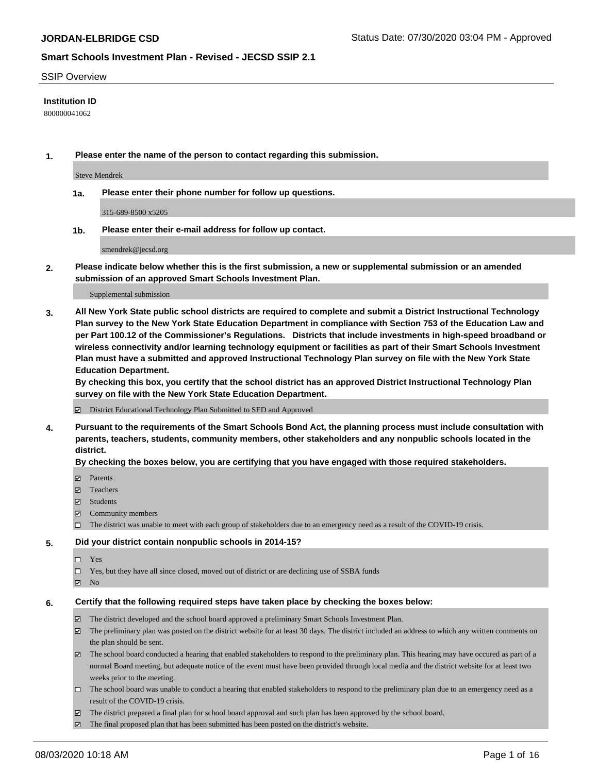#### SSIP Overview

### **Institution ID**

800000041062

**1. Please enter the name of the person to contact regarding this submission.**

Steve Mendrek

**1a. Please enter their phone number for follow up questions.**

315-689-8500 x5205

**1b. Please enter their e-mail address for follow up contact.**

smendrek@jecsd.org

**2. Please indicate below whether this is the first submission, a new or supplemental submission or an amended submission of an approved Smart Schools Investment Plan.**

#### Supplemental submission

**3. All New York State public school districts are required to complete and submit a District Instructional Technology Plan survey to the New York State Education Department in compliance with Section 753 of the Education Law and per Part 100.12 of the Commissioner's Regulations. Districts that include investments in high-speed broadband or wireless connectivity and/or learning technology equipment or facilities as part of their Smart Schools Investment Plan must have a submitted and approved Instructional Technology Plan survey on file with the New York State Education Department.** 

**By checking this box, you certify that the school district has an approved District Instructional Technology Plan survey on file with the New York State Education Department.**

District Educational Technology Plan Submitted to SED and Approved

**4. Pursuant to the requirements of the Smart Schools Bond Act, the planning process must include consultation with parents, teachers, students, community members, other stakeholders and any nonpublic schools located in the district.** 

#### **By checking the boxes below, you are certifying that you have engaged with those required stakeholders.**

- **□** Parents
- Teachers
- Students
- $\boxtimes$  Community members
- The district was unable to meet with each group of stakeholders due to an emergency need as a result of the COVID-19 crisis.

#### **5. Did your district contain nonpublic schools in 2014-15?**

- $\neg$  Yes
- Yes, but they have all since closed, moved out of district or are declining use of SSBA funds
- **Z** No

#### **6. Certify that the following required steps have taken place by checking the boxes below:**

- The district developed and the school board approved a preliminary Smart Schools Investment Plan.
- $\boxtimes$  The preliminary plan was posted on the district website for at least 30 days. The district included an address to which any written comments on the plan should be sent.
- The school board conducted a hearing that enabled stakeholders to respond to the preliminary plan. This hearing may have occured as part of a normal Board meeting, but adequate notice of the event must have been provided through local media and the district website for at least two weeks prior to the meeting.
- The school board was unable to conduct a hearing that enabled stakeholders to respond to the preliminary plan due to an emergency need as a result of the COVID-19 crisis.
- The district prepared a final plan for school board approval and such plan has been approved by the school board.
- $\boxtimes$  The final proposed plan that has been submitted has been posted on the district's website.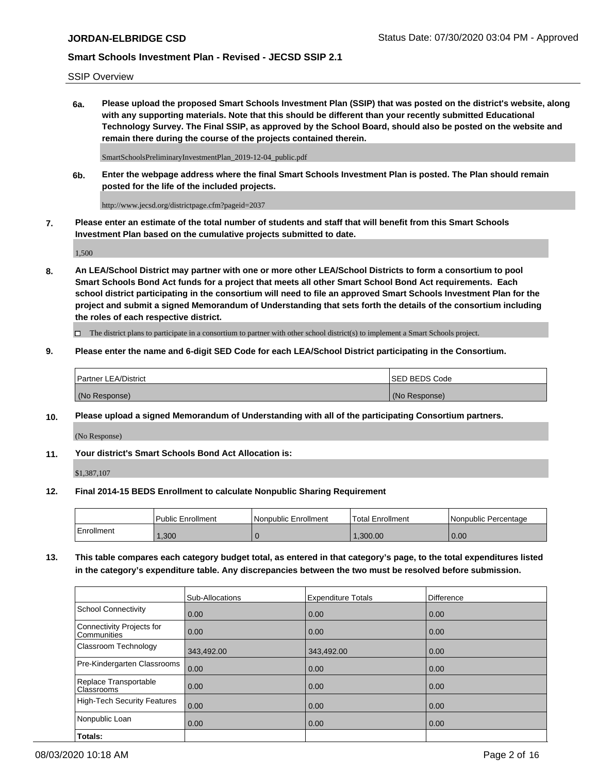SSIP Overview

**6a. Please upload the proposed Smart Schools Investment Plan (SSIP) that was posted on the district's website, along with any supporting materials. Note that this should be different than your recently submitted Educational Technology Survey. The Final SSIP, as approved by the School Board, should also be posted on the website and remain there during the course of the projects contained therein.**

SmartSchoolsPreliminaryInvestmentPlan\_2019-12-04\_public.pdf

**6b. Enter the webpage address where the final Smart Schools Investment Plan is posted. The Plan should remain posted for the life of the included projects.**

http://www.jecsd.org/districtpage.cfm?pageid=2037

**7. Please enter an estimate of the total number of students and staff that will benefit from this Smart Schools Investment Plan based on the cumulative projects submitted to date.**

1,500

**8. An LEA/School District may partner with one or more other LEA/School Districts to form a consortium to pool Smart Schools Bond Act funds for a project that meets all other Smart School Bond Act requirements. Each school district participating in the consortium will need to file an approved Smart Schools Investment Plan for the project and submit a signed Memorandum of Understanding that sets forth the details of the consortium including the roles of each respective district.**

 $\Box$  The district plans to participate in a consortium to partner with other school district(s) to implement a Smart Schools project.

### **9. Please enter the name and 6-digit SED Code for each LEA/School District participating in the Consortium.**

| Partner LEA/District | <b>ISED BEDS Code</b> |
|----------------------|-----------------------|
| (No Response)        | (No Response)         |

### **10. Please upload a signed Memorandum of Understanding with all of the participating Consortium partners.**

(No Response)

#### **11. Your district's Smart Schools Bond Act Allocation is:**

\$1,387,107

#### **12. Final 2014-15 BEDS Enrollment to calculate Nonpublic Sharing Requirement**

|            | Public Enrollment | Nonpublic Enrollment | Total Enrollment | Nonpublic Percentage |
|------------|-------------------|----------------------|------------------|----------------------|
| Enrollment | .300              |                      | .300.00          | 0.00                 |

**13. This table compares each category budget total, as entered in that category's page, to the total expenditures listed in the category's expenditure table. Any discrepancies between the two must be resolved before submission.**

|                                          | Sub-Allocations | <b>Expenditure Totals</b> | <b>Difference</b> |
|------------------------------------------|-----------------|---------------------------|-------------------|
| <b>School Connectivity</b>               | 0.00            | 0.00                      | 0.00              |
| Connectivity Projects for<br>Communities | 0.00            | 0.00                      | 0.00              |
| Classroom Technology                     | 343,492.00      | 343,492.00                | 0.00              |
| Pre-Kindergarten Classrooms              | 0.00            | 0.00                      | 0.00              |
| Replace Transportable<br>Classrooms      | 0.00            | 0.00                      | 0.00              |
| <b>High-Tech Security Features</b>       | 0.00            | 0.00                      | 0.00              |
| Nonpublic Loan                           | 0.00            | 0.00                      | 0.00              |
| Totals:                                  |                 |                           |                   |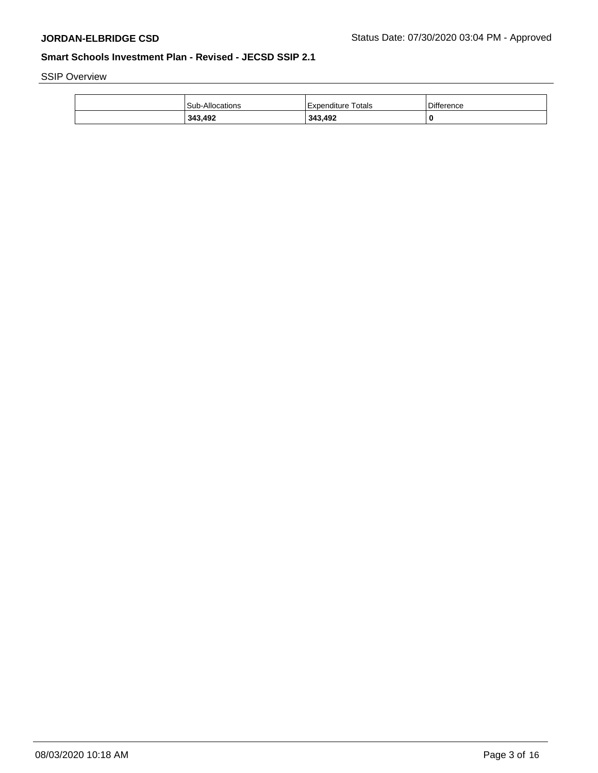SSIP Overview

| 343.492                | 343,492              | C                 |
|------------------------|----------------------|-------------------|
| <b>Sub-Allocations</b> | l Expenditure Totals | <b>Difference</b> |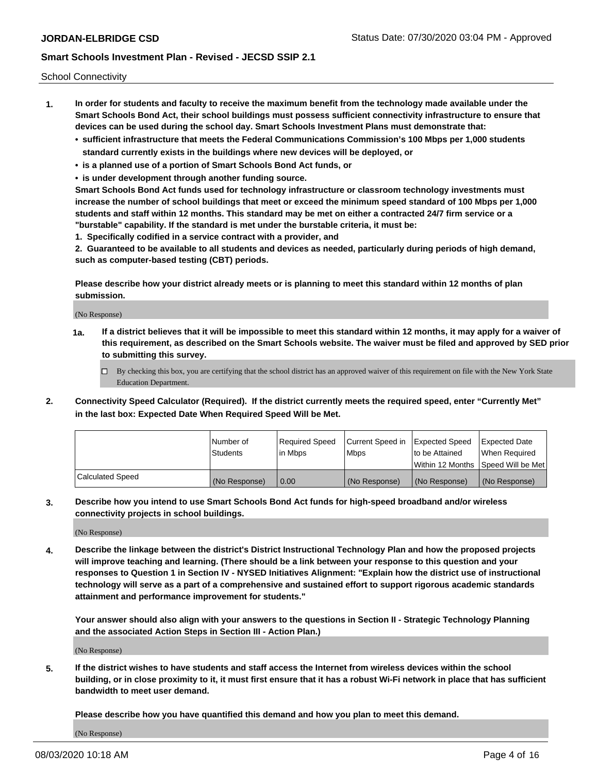School Connectivity

- **1. In order for students and faculty to receive the maximum benefit from the technology made available under the Smart Schools Bond Act, their school buildings must possess sufficient connectivity infrastructure to ensure that devices can be used during the school day. Smart Schools Investment Plans must demonstrate that:**
	- **• sufficient infrastructure that meets the Federal Communications Commission's 100 Mbps per 1,000 students standard currently exists in the buildings where new devices will be deployed, or**
	- **• is a planned use of a portion of Smart Schools Bond Act funds, or**
	- **• is under development through another funding source.**

**Smart Schools Bond Act funds used for technology infrastructure or classroom technology investments must increase the number of school buildings that meet or exceed the minimum speed standard of 100 Mbps per 1,000 students and staff within 12 months. This standard may be met on either a contracted 24/7 firm service or a "burstable" capability. If the standard is met under the burstable criteria, it must be:**

**1. Specifically codified in a service contract with a provider, and**

**2. Guaranteed to be available to all students and devices as needed, particularly during periods of high demand, such as computer-based testing (CBT) periods.**

**Please describe how your district already meets or is planning to meet this standard within 12 months of plan submission.**

(No Response)

**1a. If a district believes that it will be impossible to meet this standard within 12 months, it may apply for a waiver of this requirement, as described on the Smart Schools website. The waiver must be filed and approved by SED prior to submitting this survey.**

 $\Box$  By checking this box, you are certifying that the school district has an approved waiver of this requirement on file with the New York State Education Department.

**2. Connectivity Speed Calculator (Required). If the district currently meets the required speed, enter "Currently Met" in the last box: Expected Date When Required Speed Will be Met.**

|                  | l Number of     | Required Speed | Current Speed in | <b>Expected Speed</b> | <b>Expected Date</b>                |
|------------------|-----------------|----------------|------------------|-----------------------|-------------------------------------|
|                  | <b>Students</b> | l in Mbps      | <b>Mbps</b>      | to be Attained        | When Required                       |
|                  |                 |                |                  |                       | Within 12 Months ISpeed Will be Met |
| Calculated Speed | (No Response)   | 0.00           | (No Response)    | (No Response)         | (No Response)                       |

**3. Describe how you intend to use Smart Schools Bond Act funds for high-speed broadband and/or wireless connectivity projects in school buildings.**

(No Response)

**4. Describe the linkage between the district's District Instructional Technology Plan and how the proposed projects will improve teaching and learning. (There should be a link between your response to this question and your responses to Question 1 in Section IV - NYSED Initiatives Alignment: "Explain how the district use of instructional technology will serve as a part of a comprehensive and sustained effort to support rigorous academic standards attainment and performance improvement for students."** 

**Your answer should also align with your answers to the questions in Section II - Strategic Technology Planning and the associated Action Steps in Section III - Action Plan.)**

(No Response)

**5. If the district wishes to have students and staff access the Internet from wireless devices within the school building, or in close proximity to it, it must first ensure that it has a robust Wi-Fi network in place that has sufficient bandwidth to meet user demand.**

**Please describe how you have quantified this demand and how you plan to meet this demand.**

(No Response)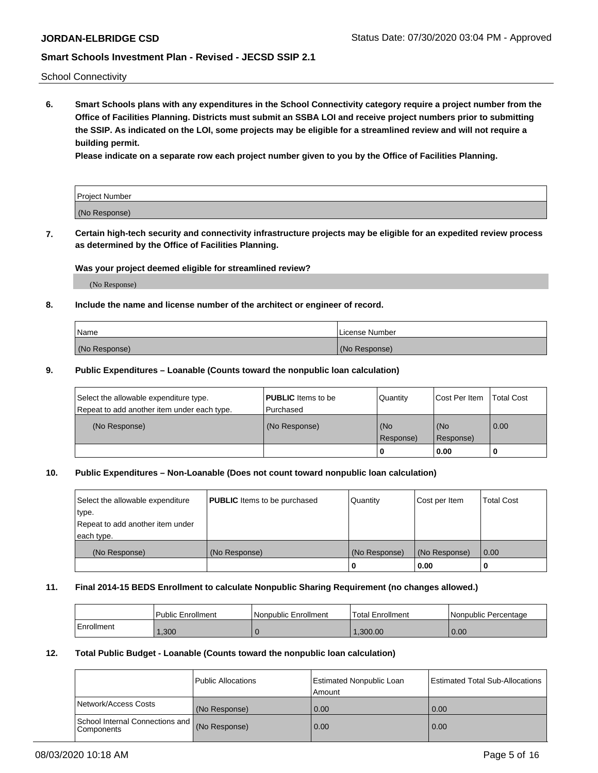School Connectivity

**6. Smart Schools plans with any expenditures in the School Connectivity category require a project number from the Office of Facilities Planning. Districts must submit an SSBA LOI and receive project numbers prior to submitting the SSIP. As indicated on the LOI, some projects may be eligible for a streamlined review and will not require a building permit.**

**Please indicate on a separate row each project number given to you by the Office of Facilities Planning.**

| Project Number |  |
|----------------|--|
| (No Response)  |  |

**7. Certain high-tech security and connectivity infrastructure projects may be eligible for an expedited review process as determined by the Office of Facilities Planning.**

### **Was your project deemed eligible for streamlined review?**

(No Response)

### **8. Include the name and license number of the architect or engineer of record.**

| Name          | License Number |
|---------------|----------------|
| (No Response) | (No Response)  |

### **9. Public Expenditures – Loanable (Counts toward the nonpublic loan calculation)**

| Select the allowable expenditure type.<br>Repeat to add another item under each type. | <b>PUBLIC</b> Items to be<br>l Purchased | Quantity           | Cost Per Item    | <b>Total Cost</b> |
|---------------------------------------------------------------------------------------|------------------------------------------|--------------------|------------------|-------------------|
| (No Response)                                                                         | (No Response)                            | l (No<br>Response) | (No<br>Response) | $\overline{0.00}$ |
|                                                                                       |                                          | 0                  | 0.00             |                   |

## **10. Public Expenditures – Non-Loanable (Does not count toward nonpublic loan calculation)**

| Select the allowable expenditure<br>type.<br>Repeat to add another item under<br>each type. | <b>PUBLIC</b> Items to be purchased | Quantity      | Cost per Item | <b>Total Cost</b> |
|---------------------------------------------------------------------------------------------|-------------------------------------|---------------|---------------|-------------------|
| (No Response)                                                                               | (No Response)                       | (No Response) | (No Response) | 0.00              |
|                                                                                             |                                     |               | 0.00          |                   |

#### **11. Final 2014-15 BEDS Enrollment to calculate Nonpublic Sharing Requirement (no changes allowed.)**

|            | Public Enrollment | Nonpublic Enrollment | <b>Total Enrollment</b> | l Nonpublic Percentage |
|------------|-------------------|----------------------|-------------------------|------------------------|
| Enrollment | ,300              |                      | .300.00                 | 0.00                   |

#### **12. Total Public Budget - Loanable (Counts toward the nonpublic loan calculation)**

|                                                      | Public Allocations | <b>Estimated Nonpublic Loan</b><br>Amount | Estimated Total Sub-Allocations |
|------------------------------------------------------|--------------------|-------------------------------------------|---------------------------------|
| Network/Access Costs                                 | (No Response)      | 0.00                                      | 0.00                            |
| School Internal Connections and<br><b>Components</b> | (No Response)      | 0.00                                      | 0.00                            |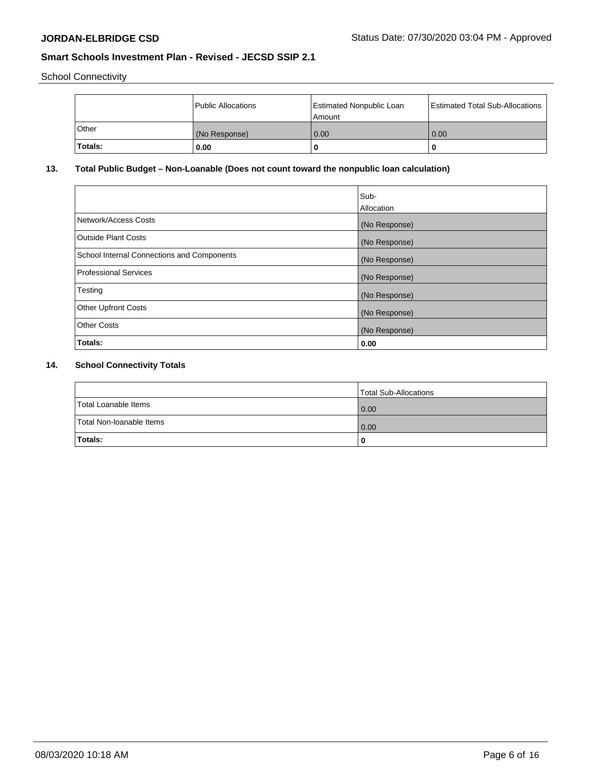School Connectivity

|              | Public Allocations | <b>Estimated Nonpublic Loan</b><br>Amount | <b>Estimated Total Sub-Allocations</b> |
|--------------|--------------------|-------------------------------------------|----------------------------------------|
| <b>Other</b> | (No Response)      | 0.00                                      | 0.00                                   |
| Totals:      | 0.00               |                                           | 0                                      |

# **13. Total Public Budget – Non-Loanable (Does not count toward the nonpublic loan calculation)**

|                                                   | Sub-<br>Allocation |
|---------------------------------------------------|--------------------|
| Network/Access Costs                              | (No Response)      |
| Outside Plant Costs                               | (No Response)      |
| <b>School Internal Connections and Components</b> | (No Response)      |
| Professional Services                             | (No Response)      |
| Testing                                           | (No Response)      |
| <b>Other Upfront Costs</b>                        | (No Response)      |
| <b>Other Costs</b>                                | (No Response)      |
| Totals:                                           | 0.00               |

# **14. School Connectivity Totals**

|                          | Total Sub-Allocations |
|--------------------------|-----------------------|
| Total Loanable Items     | 0.00                  |
| Total Non-Ioanable Items | 0.00                  |
| Totals:                  |                       |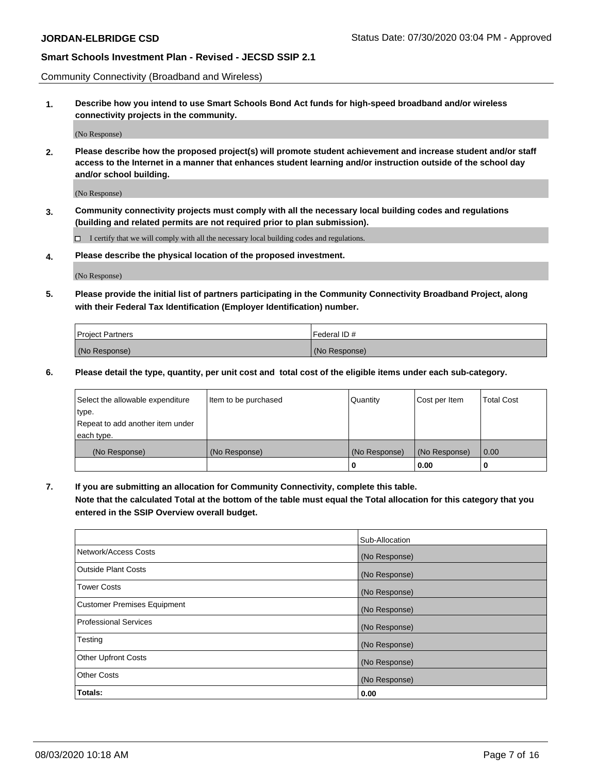Community Connectivity (Broadband and Wireless)

**1. Describe how you intend to use Smart Schools Bond Act funds for high-speed broadband and/or wireless connectivity projects in the community.**

(No Response)

**2. Please describe how the proposed project(s) will promote student achievement and increase student and/or staff access to the Internet in a manner that enhances student learning and/or instruction outside of the school day and/or school building.**

(No Response)

**3. Community connectivity projects must comply with all the necessary local building codes and regulations (building and related permits are not required prior to plan submission).**

 $\Box$  I certify that we will comply with all the necessary local building codes and regulations.

**4. Please describe the physical location of the proposed investment.**

(No Response)

**5. Please provide the initial list of partners participating in the Community Connectivity Broadband Project, along with their Federal Tax Identification (Employer Identification) number.**

| <b>Project Partners</b> | l Federal ID # |
|-------------------------|----------------|
| (No Response)           | (No Response)  |

**6. Please detail the type, quantity, per unit cost and total cost of the eligible items under each sub-category.**

| Select the allowable expenditure | Item to be purchased | Quantity      | Cost per Item | <b>Total Cost</b> |
|----------------------------------|----------------------|---------------|---------------|-------------------|
| type.                            |                      |               |               |                   |
| Repeat to add another item under |                      |               |               |                   |
| each type.                       |                      |               |               |                   |
| (No Response)                    | (No Response)        | (No Response) | (No Response) | 0.00              |
|                                  |                      | U             | 0.00          |                   |

**7. If you are submitting an allocation for Community Connectivity, complete this table.**

**Note that the calculated Total at the bottom of the table must equal the Total allocation for this category that you entered in the SSIP Overview overall budget.**

|                                    | Sub-Allocation |
|------------------------------------|----------------|
| Network/Access Costs               | (No Response)  |
| Outside Plant Costs                | (No Response)  |
| <b>Tower Costs</b>                 | (No Response)  |
| <b>Customer Premises Equipment</b> | (No Response)  |
| <b>Professional Services</b>       | (No Response)  |
| Testing                            | (No Response)  |
| <b>Other Upfront Costs</b>         | (No Response)  |
| <b>Other Costs</b>                 | (No Response)  |
| Totals:                            | 0.00           |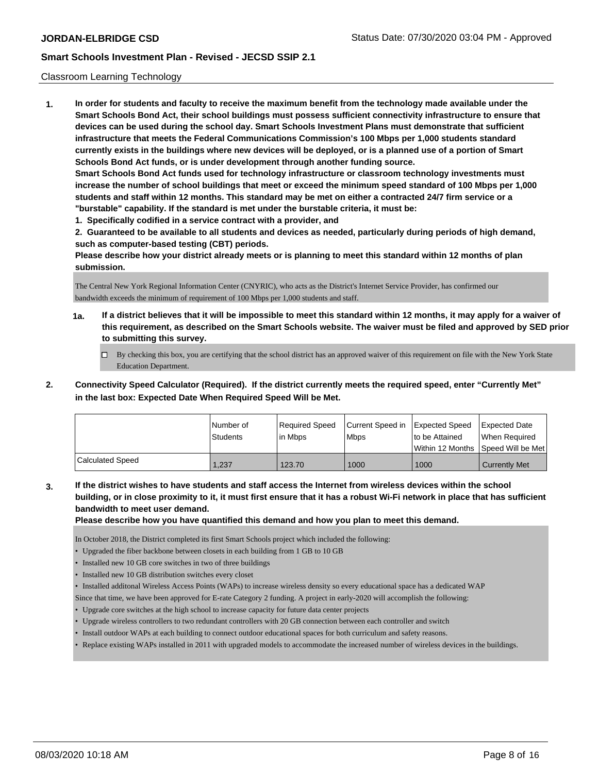### Classroom Learning Technology

**1. In order for students and faculty to receive the maximum benefit from the technology made available under the Smart Schools Bond Act, their school buildings must possess sufficient connectivity infrastructure to ensure that devices can be used during the school day. Smart Schools Investment Plans must demonstrate that sufficient infrastructure that meets the Federal Communications Commission's 100 Mbps per 1,000 students standard currently exists in the buildings where new devices will be deployed, or is a planned use of a portion of Smart Schools Bond Act funds, or is under development through another funding source. Smart Schools Bond Act funds used for technology infrastructure or classroom technology investments must increase the number of school buildings that meet or exceed the minimum speed standard of 100 Mbps per 1,000 students and staff within 12 months. This standard may be met on either a contracted 24/7 firm service or a "burstable" capability. If the standard is met under the burstable criteria, it must be:**

**1. Specifically codified in a service contract with a provider, and**

**2. Guaranteed to be available to all students and devices as needed, particularly during periods of high demand, such as computer-based testing (CBT) periods.**

**Please describe how your district already meets or is planning to meet this standard within 12 months of plan submission.**

The Central New York Regional Information Center (CNYRIC), who acts as the District's Internet Service Provider, has confirmed our bandwidth exceeds the minimum of requirement of 100 Mbps per 1,000 students and staff.

- **1a. If a district believes that it will be impossible to meet this standard within 12 months, it may apply for a waiver of this requirement, as described on the Smart Schools website. The waiver must be filed and approved by SED prior to submitting this survey.**
	- By checking this box, you are certifying that the school district has an approved waiver of this requirement on file with the New York State Education Department.
- **2. Connectivity Speed Calculator (Required). If the district currently meets the required speed, enter "Currently Met" in the last box: Expected Date When Required Speed Will be Met.**

|                  | l Number of<br>Students | Required Speed<br>l in Mbps | Current Speed in Expected Speed<br>l Mbps | to be Attained | <b>Expected Date</b><br>When Required<br>l Within 12 Months ISpeed Will be Met l |
|------------------|-------------------------|-----------------------------|-------------------------------------------|----------------|----------------------------------------------------------------------------------|
| Calculated Speed | 1.237                   | 123.70                      | 1000                                      | 1000           | Currently Met                                                                    |

**3. If the district wishes to have students and staff access the Internet from wireless devices within the school building, or in close proximity to it, it must first ensure that it has a robust Wi-Fi network in place that has sufficient bandwidth to meet user demand.**

**Please describe how you have quantified this demand and how you plan to meet this demand.**

In October 2018, the District completed its first Smart Schools project which included the following:

- Upgraded the fiber backbone between closets in each building from 1 GB to 10 GB
- Installed new 10 GB core switches in two of three buildings
- Installed new 10 GB distribution switches every closet
- Installed additonal Wireless Access Points (WAPs) to increase wireless density so every educational space has a dedicated WAP
- Since that time, we have been approved for E-rate Category 2 funding. A project in early-2020 will accomplish the following:
- Upgrade core switches at the high school to increase capacity for future data center projects
- Upgrade wireless controllers to two redundant controllers with 20 GB connection between each controller and switch
- Install outdoor WAPs at each building to connect outdoor educational spaces for both curriculum and safety reasons.
- Replace existing WAPs installed in 2011 with upgraded models to accommodate the increased number of wireless devices in the buildings.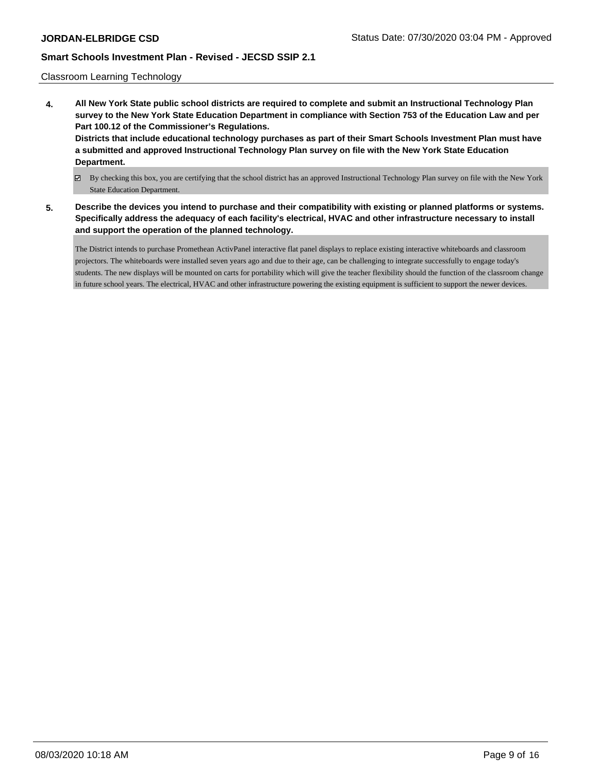### Classroom Learning Technology

- **4. All New York State public school districts are required to complete and submit an Instructional Technology Plan survey to the New York State Education Department in compliance with Section 753 of the Education Law and per Part 100.12 of the Commissioner's Regulations. Districts that include educational technology purchases as part of their Smart Schools Investment Plan must have a submitted and approved Instructional Technology Plan survey on file with the New York State Education Department.**
	- By checking this box, you are certifying that the school district has an approved Instructional Technology Plan survey on file with the New York State Education Department.
- **5. Describe the devices you intend to purchase and their compatibility with existing or planned platforms or systems. Specifically address the adequacy of each facility's electrical, HVAC and other infrastructure necessary to install and support the operation of the planned technology.**

The District intends to purchase Promethean ActivPanel interactive flat panel displays to replace existing interactive whiteboards and classroom projectors. The whiteboards were installed seven years ago and due to their age, can be challenging to integrate successfully to engage today's students. The new displays will be mounted on carts for portability which will give the teacher flexibility should the function of the classroom change in future school years. The electrical, HVAC and other infrastructure powering the existing equipment is sufficient to support the newer devices.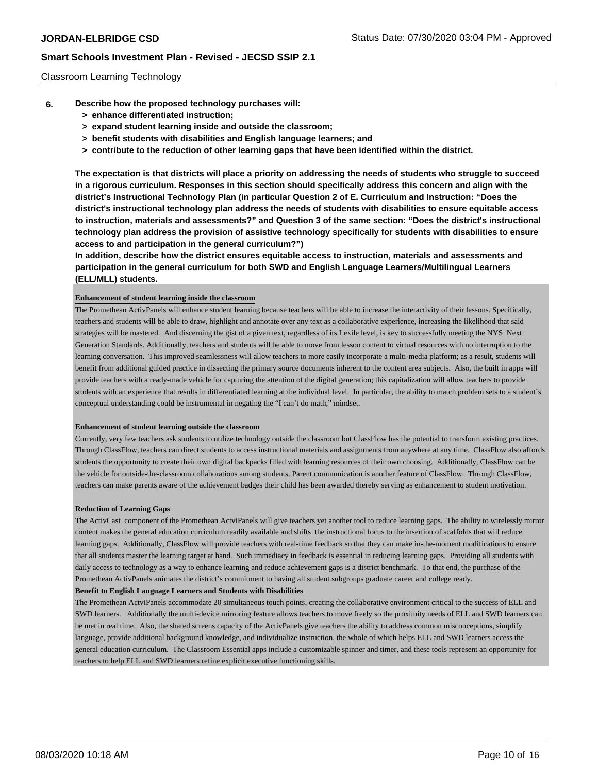### Classroom Learning Technology

- **6. Describe how the proposed technology purchases will:**
	- **> enhance differentiated instruction;**
	- **> expand student learning inside and outside the classroom;**
	- **> benefit students with disabilities and English language learners; and**
	- **> contribute to the reduction of other learning gaps that have been identified within the district.**

**The expectation is that districts will place a priority on addressing the needs of students who struggle to succeed in a rigorous curriculum. Responses in this section should specifically address this concern and align with the district's Instructional Technology Plan (in particular Question 2 of E. Curriculum and Instruction: "Does the district's instructional technology plan address the needs of students with disabilities to ensure equitable access to instruction, materials and assessments?" and Question 3 of the same section: "Does the district's instructional technology plan address the provision of assistive technology specifically for students with disabilities to ensure access to and participation in the general curriculum?")**

**In addition, describe how the district ensures equitable access to instruction, materials and assessments and participation in the general curriculum for both SWD and English Language Learners/Multilingual Learners (ELL/MLL) students.**

#### **Enhancement of student learning inside the classroom**

The Promethean ActivPanels will enhance student learning because teachers will be able to increase the interactivity of their lessons. Specifically, teachers and students will be able to draw, highlight and annotate over any text as a collaborative experience, increasing the likelihood that said strategies will be mastered. And discerning the gist of a given text, regardless of its Lexile level, is key to successfully meeting the NYS Next Generation Standards. Additionally, teachers and students will be able to move from lesson content to virtual resources with no interruption to the learning conversation. This improved seamlessness will allow teachers to more easily incorporate a multi-media platform; as a result, students will benefit from additional guided practice in dissecting the primary source documents inherent to the content area subjects. Also, the built in apps will provide teachers with a ready-made vehicle for capturing the attention of the digital generation; this capitalization will allow teachers to provide students with an experience that results in differentiated learning at the individual level. In particular, the ability to match problem sets to a student's conceptual understanding could be instrumental in negating the "I can't do math," mindset.

#### **Enhancement of student learning outside the classroom**

Currently, very few teachers ask students to utilize technology outside the classroom but ClassFlow has the potential to transform existing practices. Through ClassFlow, teachers can direct students to access instructional materials and assignments from anywhere at any time. ClassFlow also affords students the opportunity to create their own digital backpacks filled with learning resources of their own choosing. Additionally, ClassFlow can be the vehicle for outside-the-classroom collaborations among students. Parent communication is another feature of ClassFlow. Through ClassFlow, teachers can make parents aware of the achievement badges their child has been awarded thereby serving as enhancement to student motivation.

#### **Reduction of Learning Gaps**

The ActivCast component of the Promethean ActviPanels will give teachers yet another tool to reduce learning gaps. The ability to wirelessly mirror content makes the general education curriculum readily available and shifts the instructional focus to the insertion of scaffolds that will reduce learning gaps. Additionally, ClassFlow will provide teachers with real-time feedback so that they can make in-the-moment modifications to ensure that all students master the learning target at hand. Such immediacy in feedback is essential in reducing learning gaps. Providing all students with daily access to technology as a way to enhance learning and reduce achievement gaps is a district benchmark. To that end, the purchase of the Promethean ActivPanels animates the district's commitment to having all student subgroups graduate career and college ready.

## **Benefit to English Language Learners and Students with Disabilities**

The Promethean ActviPanels accommodate 20 simultaneous touch points, creating the collaborative environment critical to the success of ELL and SWD learners. Additionally the multi-device mirroring feature allows teachers to move freely so the proximity needs of ELL and SWD learners can be met in real time. Also, the shared screens capacity of the ActivPanels give teachers the ability to address common misconceptions, simplify language, provide additional background knowledge, and individualize instruction, the whole of which helps ELL and SWD learners access the general education curriculum. The Classroom Essential apps include a customizable spinner and timer, and these tools represent an opportunity for teachers to help ELL and SWD learners refine explicit executive functioning skills.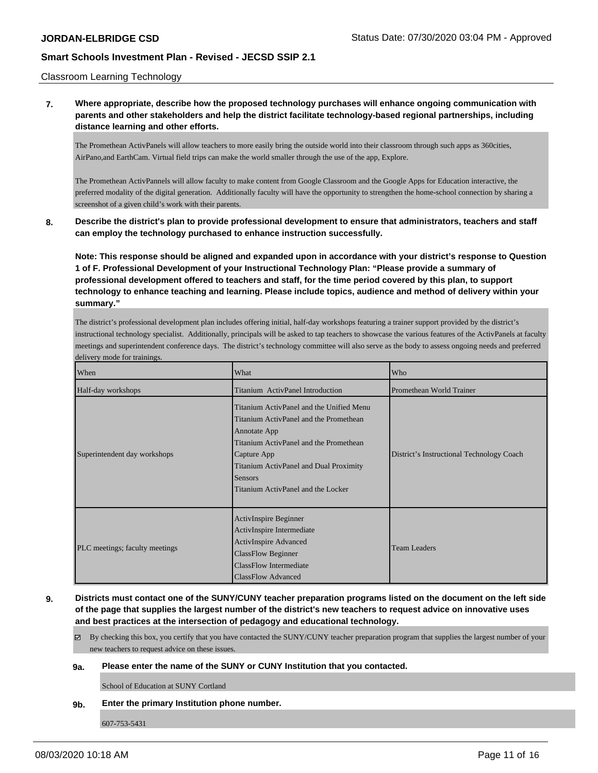### Classroom Learning Technology

**7. Where appropriate, describe how the proposed technology purchases will enhance ongoing communication with parents and other stakeholders and help the district facilitate technology-based regional partnerships, including distance learning and other efforts.**

The Promethean ActivPanels will allow teachers to more easily bring the outside world into their classroom through such apps as 360cities, AirPano,and EarthCam. Virtual field trips can make the world smaller through the use of the app, Explore.

The Promethean ActivPannels will allow faculty to make content from Google Classroom and the Google Apps for Education interactive, the preferred modality of the digital generation. Additionally faculty will have the opportunity to strengthen the home-school connection by sharing a screenshot of a given child's work with their parents.

**8. Describe the district's plan to provide professional development to ensure that administrators, teachers and staff can employ the technology purchased to enhance instruction successfully.**

**Note: This response should be aligned and expanded upon in accordance with your district's response to Question 1 of F. Professional Development of your Instructional Technology Plan: "Please provide a summary of professional development offered to teachers and staff, for the time period covered by this plan, to support technology to enhance teaching and learning. Please include topics, audience and method of delivery within your summary."**

The district's professional development plan includes offering initial, half-day workshops featuring a trainer support provided by the district's instructional technology specialist. Additionally, principals will be asked to tap teachers to showcase the various features of the ActivPanels at faculty meetings and superintendent conference days. The district's technology committee will also serve as the body to assess ongoing needs and preferred delivery mode for trainings.

| When                           | What                                                                                                                                                                                                                                                          | Who                                       |
|--------------------------------|---------------------------------------------------------------------------------------------------------------------------------------------------------------------------------------------------------------------------------------------------------------|-------------------------------------------|
| Half-day workshops             | Titanium ActivPanel Introduction                                                                                                                                                                                                                              | Promethean World Trainer                  |
| Superintendent day workshops   | Titanium ActivPanel and the Unified Menu<br>Titanium ActivPanel and the Promethean<br>Annotate App<br>Titanium ActivPanel and the Promethean<br>Capture App<br>Titanium ActivPanel and Dual Proximity<br><b>Sensors</b><br>Titanium ActivPanel and the Locker | District's Instructional Technology Coach |
| PLC meetings; faculty meetings | ActivInspire Beginner<br>ActivInspire Intermediate<br><b>ActivInspire Advanced</b><br><b>ClassFlow Beginner</b><br>ClassFlow Intermediate<br><b>ClassFlow Advanced</b>                                                                                        | <b>Team Leaders</b>                       |

**9. Districts must contact one of the SUNY/CUNY teacher preparation programs listed on the document on the left side of the page that supplies the largest number of the district's new teachers to request advice on innovative uses and best practices at the intersection of pedagogy and educational technology.**

By checking this box, you certify that you have contacted the SUNY/CUNY teacher preparation program that supplies the largest number of your new teachers to request advice on these issues.

#### **9a. Please enter the name of the SUNY or CUNY Institution that you contacted.**

School of Education at SUNY Cortland

### **9b. Enter the primary Institution phone number.**

607-753-5431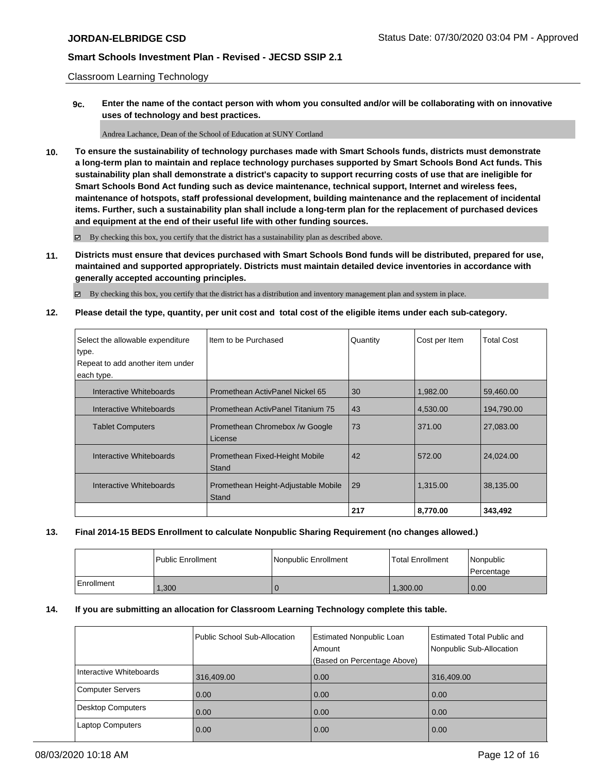Classroom Learning Technology

**9c. Enter the name of the contact person with whom you consulted and/or will be collaborating with on innovative uses of technology and best practices.**

Andrea Lachance, Dean of the School of Education at SUNY Cortland

**10. To ensure the sustainability of technology purchases made with Smart Schools funds, districts must demonstrate a long-term plan to maintain and replace technology purchases supported by Smart Schools Bond Act funds. This sustainability plan shall demonstrate a district's capacity to support recurring costs of use that are ineligible for Smart Schools Bond Act funding such as device maintenance, technical support, Internet and wireless fees, maintenance of hotspots, staff professional development, building maintenance and the replacement of incidental items. Further, such a sustainability plan shall include a long-term plan for the replacement of purchased devices and equipment at the end of their useful life with other funding sources.**

By checking this box, you certify that the district has a sustainability plan as described above.

**11. Districts must ensure that devices purchased with Smart Schools Bond funds will be distributed, prepared for use, maintained and supported appropriately. Districts must maintain detailed device inventories in accordance with generally accepted accounting principles.**

By checking this box, you certify that the district has a distribution and inventory management plan and system in place.

**12. Please detail the type, quantity, per unit cost and total cost of the eligible items under each sub-category.**

| Select the allowable expenditure | Item to be Purchased                | Quantity | Cost per Item | <b>Total Cost</b> |
|----------------------------------|-------------------------------------|----------|---------------|-------------------|
| type.                            |                                     |          |               |                   |
| Repeat to add another item under |                                     |          |               |                   |
| each type.                       |                                     |          |               |                   |
| Interactive Whiteboards          | Promethean ActivPanel Nickel 65     | 30       | 1,982.00      | 59.460.00         |
| Interactive Whiteboards          | Promethean ActivPanel Titanium 75   | 43       | 4,530.00      | 194,790.00        |
| <b>Tablet Computers</b>          | Promethean Chromebox /w Google      | 73       | 371.00        | 27,083.00         |
|                                  | License                             |          |               |                   |
| Interactive Whiteboards          | Promethean Fixed-Height Mobile      | 42       | 572.00        | 24.024.00         |
|                                  | Stand                               |          |               |                   |
| Interactive Whiteboards          | Promethean Height-Adjustable Mobile | 29       | 1,315.00      | 38,135.00         |
|                                  | Stand                               |          |               |                   |
|                                  |                                     | 217      | 8,770.00      | 343,492           |

### **13. Final 2014-15 BEDS Enrollment to calculate Nonpublic Sharing Requirement (no changes allowed.)**

|            | <b>Public Enrollment</b> | l Nonpublic Enrollment | <b>Total Enrollment</b> | <i>Nonpublic</i><br>l Percentage |
|------------|--------------------------|------------------------|-------------------------|----------------------------------|
| Enrollment | ,300                     |                        | 1,300.00                | 0.00                             |

### **14. If you are submitting an allocation for Classroom Learning Technology complete this table.**

|                          | Public School Sub-Allocation | <b>Estimated Nonpublic Loan</b><br>l Amount<br>(Based on Percentage Above) | <b>Estimated Total Public and</b><br>Nonpublic Sub-Allocation |
|--------------------------|------------------------------|----------------------------------------------------------------------------|---------------------------------------------------------------|
|                          |                              |                                                                            |                                                               |
| Interactive Whiteboards  | 316,409.00                   | 0.00                                                                       | 316,409.00                                                    |
| <b>Computer Servers</b>  | 0.00                         | 0.00                                                                       | 0.00                                                          |
| <b>Desktop Computers</b> | 0.00                         | 0.00                                                                       | 0.00                                                          |
| <b>Laptop Computers</b>  | 0.00                         | 0.00                                                                       | 0.00                                                          |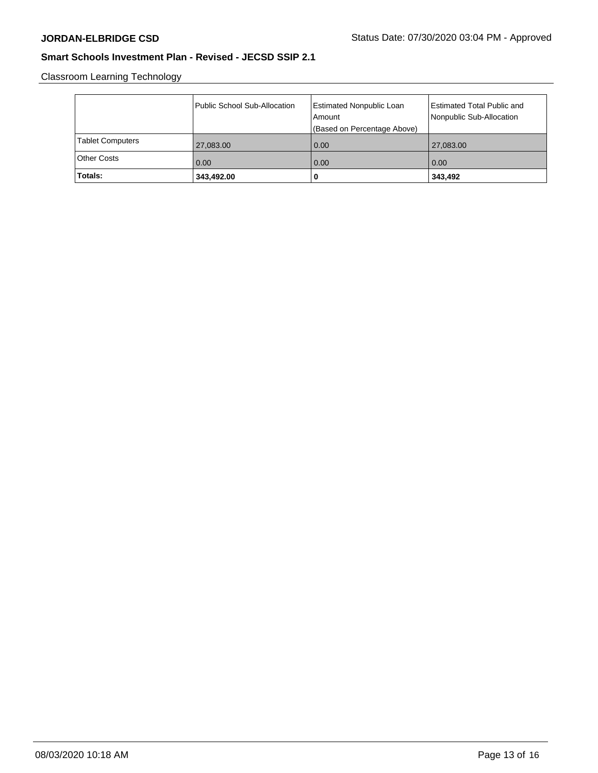Classroom Learning Technology

|                         | Public School Sub-Allocation | Estimated Nonpublic Loan<br>l Amount<br>(Based on Percentage Above) | Estimated Total Public and<br>Nonpublic Sub-Allocation |
|-------------------------|------------------------------|---------------------------------------------------------------------|--------------------------------------------------------|
| <b>Tablet Computers</b> | 27,083.00                    | 0.00                                                                | 27,083.00                                              |
| <b>Other Costs</b>      | $\vert$ 0.00                 | 0.00                                                                | 0.00                                                   |
| Totals:                 | 343,492.00                   | 0                                                                   | 343,492                                                |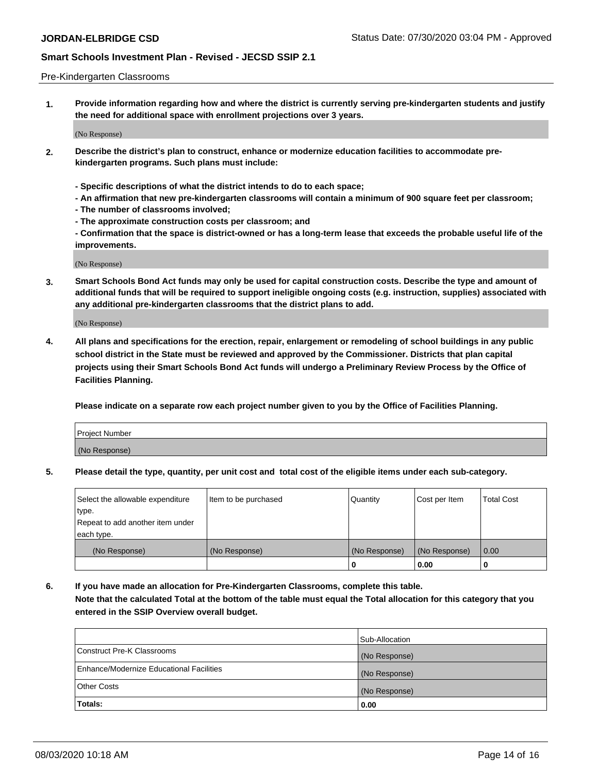### Pre-Kindergarten Classrooms

**1. Provide information regarding how and where the district is currently serving pre-kindergarten students and justify the need for additional space with enrollment projections over 3 years.**

(No Response)

- **2. Describe the district's plan to construct, enhance or modernize education facilities to accommodate prekindergarten programs. Such plans must include:**
	- **Specific descriptions of what the district intends to do to each space;**
	- **An affirmation that new pre-kindergarten classrooms will contain a minimum of 900 square feet per classroom;**
	- **The number of classrooms involved;**
	- **The approximate construction costs per classroom; and**
	- **Confirmation that the space is district-owned or has a long-term lease that exceeds the probable useful life of the improvements.**

(No Response)

**3. Smart Schools Bond Act funds may only be used for capital construction costs. Describe the type and amount of additional funds that will be required to support ineligible ongoing costs (e.g. instruction, supplies) associated with any additional pre-kindergarten classrooms that the district plans to add.**

(No Response)

**4. All plans and specifications for the erection, repair, enlargement or remodeling of school buildings in any public school district in the State must be reviewed and approved by the Commissioner. Districts that plan capital projects using their Smart Schools Bond Act funds will undergo a Preliminary Review Process by the Office of Facilities Planning.**

**Please indicate on a separate row each project number given to you by the Office of Facilities Planning.**

| Project Number |  |
|----------------|--|
| (No Response)  |  |
|                |  |

**5. Please detail the type, quantity, per unit cost and total cost of the eligible items under each sub-category.**

| Select the allowable expenditure | Item to be purchased | Quantity      | Cost per Item | <b>Total Cost</b> |
|----------------------------------|----------------------|---------------|---------------|-------------------|
| type.                            |                      |               |               |                   |
| Repeat to add another item under |                      |               |               |                   |
| each type.                       |                      |               |               |                   |
| (No Response)                    | (No Response)        | (No Response) | (No Response) | 0.00              |
|                                  |                      | U             | 0.00          |                   |

**6. If you have made an allocation for Pre-Kindergarten Classrooms, complete this table. Note that the calculated Total at the bottom of the table must equal the Total allocation for this category that you entered in the SSIP Overview overall budget.**

|                                          | Sub-Allocation |
|------------------------------------------|----------------|
| Construct Pre-K Classrooms               | (No Response)  |
| Enhance/Modernize Educational Facilities | (No Response)  |
| <b>Other Costs</b>                       | (No Response)  |
| Totals:                                  | 0.00           |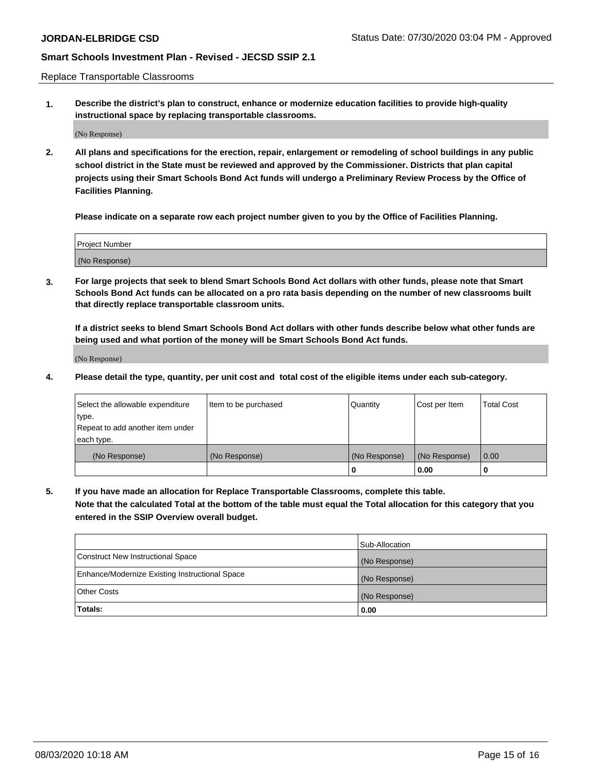Replace Transportable Classrooms

**1. Describe the district's plan to construct, enhance or modernize education facilities to provide high-quality instructional space by replacing transportable classrooms.**

(No Response)

**2. All plans and specifications for the erection, repair, enlargement or remodeling of school buildings in any public school district in the State must be reviewed and approved by the Commissioner. Districts that plan capital projects using their Smart Schools Bond Act funds will undergo a Preliminary Review Process by the Office of Facilities Planning.**

**Please indicate on a separate row each project number given to you by the Office of Facilities Planning.**

| Project Number |  |
|----------------|--|
|                |  |
|                |  |
|                |  |
|                |  |
| (No Response)  |  |
|                |  |
|                |  |
|                |  |

**3. For large projects that seek to blend Smart Schools Bond Act dollars with other funds, please note that Smart Schools Bond Act funds can be allocated on a pro rata basis depending on the number of new classrooms built that directly replace transportable classroom units.**

**If a district seeks to blend Smart Schools Bond Act dollars with other funds describe below what other funds are being used and what portion of the money will be Smart Schools Bond Act funds.**

(No Response)

**4. Please detail the type, quantity, per unit cost and total cost of the eligible items under each sub-category.**

| Select the allowable expenditure           | Item to be purchased | Quantity      | Cost per Item | <b>Total Cost</b> |
|--------------------------------------------|----------------------|---------------|---------------|-------------------|
| ∣type.<br>Repeat to add another item under |                      |               |               |                   |
| each type.                                 |                      |               |               |                   |
| (No Response)                              | (No Response)        | (No Response) | (No Response) | 0.00              |
|                                            |                      | 0             | 0.00          |                   |

**5. If you have made an allocation for Replace Transportable Classrooms, complete this table. Note that the calculated Total at the bottom of the table must equal the Total allocation for this category that you entered in the SSIP Overview overall budget.**

|                                                | Sub-Allocation |
|------------------------------------------------|----------------|
| Construct New Instructional Space              | (No Response)  |
| Enhance/Modernize Existing Instructional Space | (No Response)  |
| Other Costs                                    | (No Response)  |
| Totals:                                        | 0.00           |